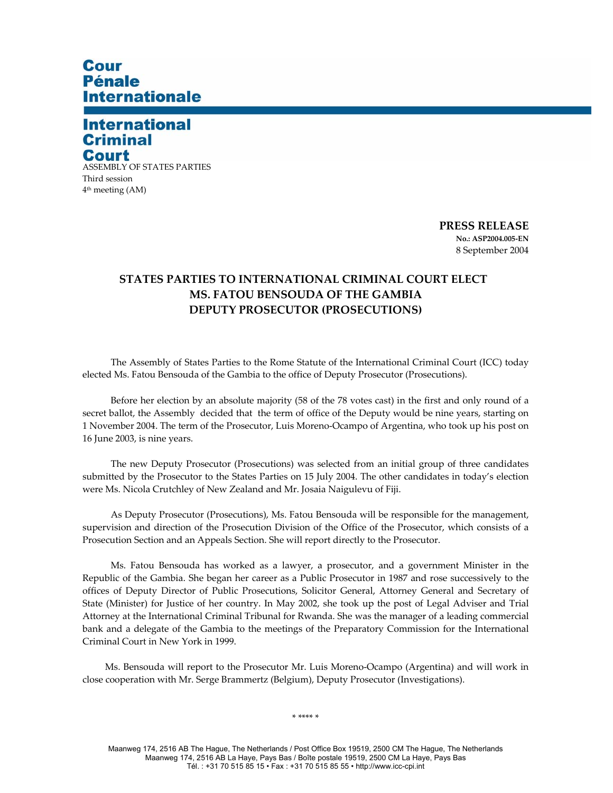## Cour **Pénale Internationale**

## **International Criminal** Court

ASSEMBLY OF STATES PARTIES Third session 4th meeting (AM)

> **PRESS RELEASE No.: ASP2004.005-EN**  8 September 2004

## **STATES PARTIES TO INTERNATIONAL CRIMINAL COURT ELECT MS. FATOU BENSOUDA OF THE GAMBIA DEPUTY PROSECUTOR (PROSECUTIONS)**

The Assembly of States Parties to the Rome Statute of the International Criminal Court (ICC) today elected Ms. Fatou Bensouda of the Gambia to the office of Deputy Prosecutor (Prosecutions).

Before her election by an absolute majority (58 of the 78 votes cast) in the first and only round of a secret ballot, the Assembly decided that the term of office of the Deputy would be nine years, starting on 1 November 2004. The term of the Prosecutor, Luis Moreno-Ocampo of Argentina, who took up his post on 16 June 2003, is nine years.

The new Deputy Prosecutor (Prosecutions) was selected from an initial group of three candidates submitted by the Prosecutor to the States Parties on 15 July 2004. The other candidates in today's election were Ms. Nicola Crutchley of New Zealand and Mr. Josaia Naigulevu of Fiji.

As Deputy Prosecutor (Prosecutions), Ms. Fatou Bensouda will be responsible for the management, supervision and direction of the Prosecution Division of the Office of the Prosecutor, which consists of a Prosecution Section and an Appeals Section. She will report directly to the Prosecutor.

Ms. Fatou Bensouda has worked as a lawyer, a prosecutor, and a government Minister in the Republic of the Gambia. She began her career as a Public Prosecutor in 1987 and rose successively to the offices of Deputy Director of Public Prosecutions, Solicitor General, Attorney General and Secretary of State (Minister) for Justice of her country. In May 2002, she took up the post of Legal Adviser and Trial Attorney at the International Criminal Tribunal for Rwanda. She was the manager of a leading commercial bank and a delegate of the Gambia to the meetings of the Preparatory Commission for the International Criminal Court in New York in 1999.

Ms. Bensouda will report to the Prosecutor Mr. Luis Moreno-Ocampo (Argentina) and will work in close cooperation with Mr. Serge Brammertz (Belgium), Deputy Prosecutor (Investigations).

\* \*\*\*\* \*